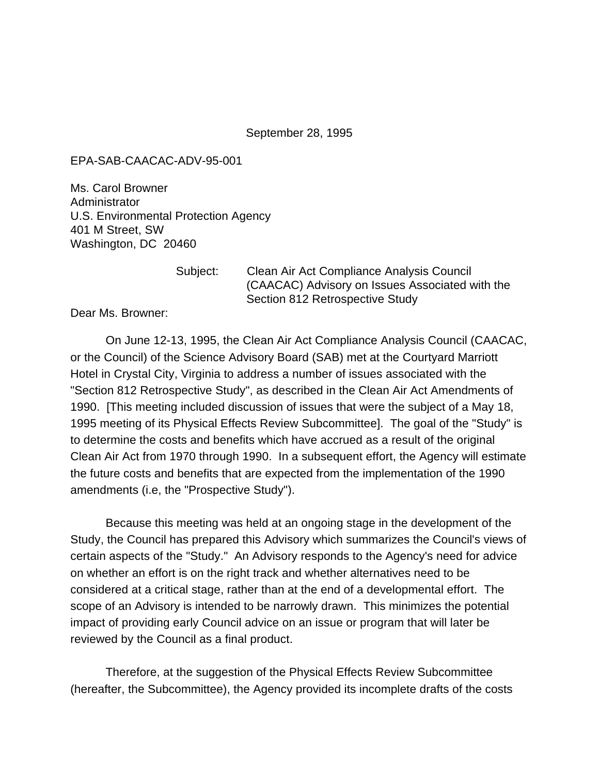September 28, 1995

## EPA-SAB-CAACAC-ADV-95-001

Ms. Carol Browner **Administrator** U.S. Environmental Protection Agency 401 M Street, SW Washington, DC 20460

Subject: Clean Air Act Compliance Analysis Council (CAACAC) Advisory on Issues Associated with the Section 812 Retrospective Study

Dear Ms. Browner:

On June 12-13, 1995, the Clean Air Act Compliance Analysis Council (CAACAC, or the Council) of the Science Advisory Board (SAB) met at the Courtyard Marriott Hotel in Crystal City, Virginia to address a number of issues associated with the "Section 812 Retrospective Study", as described in the Clean Air Act Amendments of 1990. [This meeting included discussion of issues that were the subject of a May 18, 1995 meeting of its Physical Effects Review Subcommittee]. The goal of the "Study" is to determine the costs and benefits which have accrued as a result of the original Clean Air Act from 1970 through 1990. In a subsequent effort, the Agency will estimate the future costs and benefits that are expected from the implementation of the 1990 amendments (i.e, the "Prospective Study").

Because this meeting was held at an ongoing stage in the development of the Study, the Council has prepared this Advisory which summarizes the Council's views of certain aspects of the "Study." An Advisory responds to the Agency's need for advice on whether an effort is on the right track and whether alternatives need to be considered at a critical stage, rather than at the end of a developmental effort. The scope of an Advisory is intended to be narrowly drawn. This minimizes the potential impact of providing early Council advice on an issue or program that will later be reviewed by the Council as a final product.

Therefore, at the suggestion of the Physical Effects Review Subcommittee (hereafter, the Subcommittee), the Agency provided its incomplete drafts of the costs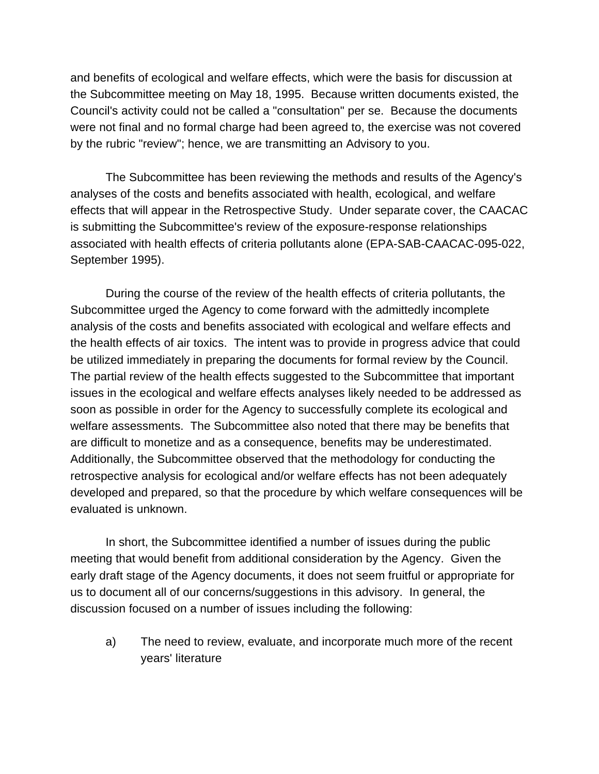and benefits of ecological and welfare effects, which were the basis for discussion at the Subcommittee meeting on May 18, 1995. Because written documents existed, the Council's activity could not be called a "consultation" per se. Because the documents were not final and no formal charge had been agreed to, the exercise was not covered by the rubric "review"; hence, we are transmitting an Advisory to you.

The Subcommittee has been reviewing the methods and results of the Agency's analyses of the costs and benefits associated with health, ecological, and welfare effects that will appear in the Retrospective Study. Under separate cover, the CAACAC is submitting the Subcommittee's review of the exposure-response relationships associated with health effects of criteria pollutants alone (EPA-SAB-CAACAC-095-022, September 1995).

During the course of the review of the health effects of criteria pollutants, the Subcommittee urged the Agency to come forward with the admittedly incomplete analysis of the costs and benefits associated with ecological and welfare effects and the health effects of air toxics. The intent was to provide in progress advice that could be utilized immediately in preparing the documents for formal review by the Council. The partial review of the health effects suggested to the Subcommittee that important issues in the ecological and welfare effects analyses likely needed to be addressed as soon as possible in order for the Agency to successfully complete its ecological and welfare assessments. The Subcommittee also noted that there may be benefits that are difficult to monetize and as a consequence, benefits may be underestimated. Additionally, the Subcommittee observed that the methodology for conducting the retrospective analysis for ecological and/or welfare effects has not been adequately developed and prepared, so that the procedure by which welfare consequences will be evaluated is unknown.

In short, the Subcommittee identified a number of issues during the public meeting that would benefit from additional consideration by the Agency. Given the early draft stage of the Agency documents, it does not seem fruitful or appropriate for us to document all of our concerns/suggestions in this advisory. In general, the discussion focused on a number of issues including the following:

a) The need to review, evaluate, and incorporate much more of the recent years' literature